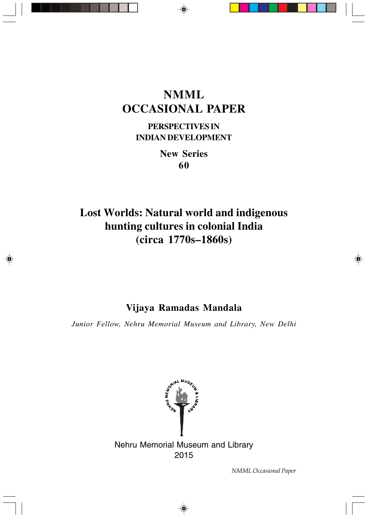# **NMML OCCASIONAL PAPER**

**PERSPECTIVES IN INDIAN DEVELOPMENT**

> **New Series 60**

# **Lost Worlds: Natural world and indigenous hunting cultures in colonial India (circa 1770s–1860s)**

# **Vijaya Ramadas Mandala**

*Junior Fellow, Nehru Memorial Museum and Library, New Delhi*

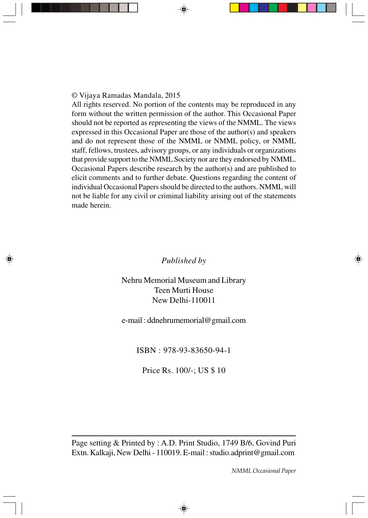All rights reserved. No portion of the contents may be reproduced in any form without the written permission of the author. This Occasional Paper should not be reported as representing the views of the NMML. The views expressed in this Occasional Paper are those of the author(s) and speakers and do not represent those of the NMML or NMML policy, or NMML staff, fellows, trustees, advisory groups, or any individuals or organizations that provide support to the NMML Society nor are they endorsed by NMML. Occasional Papers describe research by the author(s) and are published to elicit comments and to further debate. Questions regarding the content of individual Occasional Papers should be directed to the authors. NMML will not be liable for any civil or criminal liability arising out of the statements made herein.

# *Published by*

Nehru Memorial Museum and Library Teen Murti House New Delhi-110011

e-mail : ddnehrumemorial@gmail.com

ISBN : 978-93-83650-94-1

Price Rs. 100/-; US \$ 10

Page setting & Printed by : A.D. Print Studio, 1749 B/6, Govind Puri Extn. Kalkaji, New Delhi - 110019. E-mail : studio.adprint@gmail.com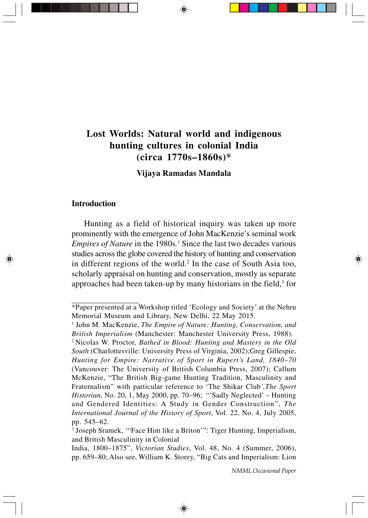# **Lost Worlds: Natural world and indigenous hunting cultures in colonial India (circa 1770s–1860s)\***

**Vijaya Ramadas Mandala**

#### **Introduction**

Hunting as a field of historical inquiry was taken up more prominently with the emergence of John MacKenzie's seminal work *Empires of Nature* in the 1980s*.* <sup>1</sup> Since the last two decades various studies across the globe covered the history of hunting and conservation in different regions of the world.<sup>2</sup> In the case of South Asia too, scholarly appraisal on hunting and conservation, mostly as separate approaches had been taken-up by many historians in the field, $3$  for

<sup>\*</sup>Paper presented at a Workshop titled 'Ecology and Society' at the Nehru Memorial Museum and Library, New Delhi, 22 May 2015.

<sup>&</sup>lt;sup>1</sup> John M. MacKenzie, *The Empire of Nature: Hunting, Conservation, and British Imperialism* (Manchester: Manchester University Press, 1988).

<sup>2</sup> Nicolas W. Proctor, *Bathed in Blood: Hunting and Mastery in the Old South* (Charlottesville: University Press of Virginia, 2002);Greg Gillespie, *Hunting for Empire: Narrative of Sport in Rupert's Land, 1840–70* (Vancouver: The University of British Columbia Press, 2007); Callum McKenzie, "The British Big-game Hunting Tradition, Masculinity and Fraternalism" with particular reference to 'The Shikar Club*',The Sport Historian*, No. 20, 1, May 2000, pp. 70–96; "'Sadly Neglected' – Hunting and Gendered Identities: A Study in Gender Construction", *The International Journal of the History of Sport*, Vol. 22, No. 4, July 2005, pp. 545–62.

<sup>&</sup>lt;sup>3</sup> Joseph Sramek, "'Face Him like a Briton'": Tiger Hunting, Imperialism, and British Masculinity in Colonial

India, 1800–1875", *Victorian Studies*, Vol. 48, No. 4 (Summer, 2006), pp. 659–80; Also see, William K. Storey, "Big Cats and Imperialism: Lion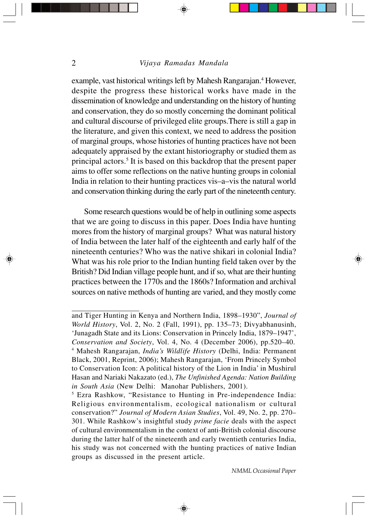example, vast historical writings left by Mahesh Rangarajan.<sup>4</sup> However, despite the progress these historical works have made in the dissemination of knowledge and understanding on the history of hunting and conservation, they do so mostly concerning the dominant political and cultural discourse of privileged elite groups.There is still a gap in the literature, and given this context, we need to address the position of marginal groups, whose histories of hunting practices have not been adequately appraised by the extant historiography or studied them as principal actors.<sup>5</sup> It is based on this backdrop that the present paper aims to offer some reflections on the native hunting groups in colonial India in relation to their hunting practices vis–a–vis the natural world and conservation thinking during the early part of the nineteenth century.

Some research questions would be of help in outlining some aspects that we are going to discuss in this paper. Does India have hunting mores from the history of marginal groups? What was natural history of India between the later half of the eighteenth and early half of the nineteenth centuries? Who was the native shikari in colonial India? What was his role prior to the Indian hunting field taken over by the British? Did Indian village people hunt, and if so, what are their hunting practices between the 1770s and the 1860s? Information and archival sources on native methods of hunting are varied, and they mostly come

◈

and Tiger Hunting in Kenya and Northern India, 1898–1930", *Journal of World History*, Vol. 2, No. 2 (Fall, 1991), pp. 135–73; Divyabhanusinh, 'Junagadh State and its Lions: Conservation in Princely India, 1879–1947', *Conservation and Society*, Vol. 4, No. 4 (December 2006), pp.520–40. 4 Mahesh Rangarajan, *India's Wildlife History* (Delhi, India: Permanent Black, 2001, Reprint, 2006); Mahesh Rangarajan, 'From Princely Symbol to Conservation Icon: A political history of the Lion in India' in Mushirul Hasan and Nariaki Nakazato (ed.), *The Unfinished Agenda: Nation Building in South Asia* (New Delhi: Manohar Publishers, 2001).

<sup>5</sup> Ezra Rashkow, "Resistance to Hunting in Pre-independence India: Religious environmentalism, ecological nationalism or cultural conservation?" *Journal of Modern Asian Studies*, Vol. 49, No. 2, pp. 270– 301. While Rashkow's insightful study *prime facie* deals with the aspect of cultural environmentalism in the context of anti-British colonial discourse during the latter half of the nineteenth and early twentieth centuries India, his study was not concerned with the hunting practices of native Indian groups as discussed in the present article.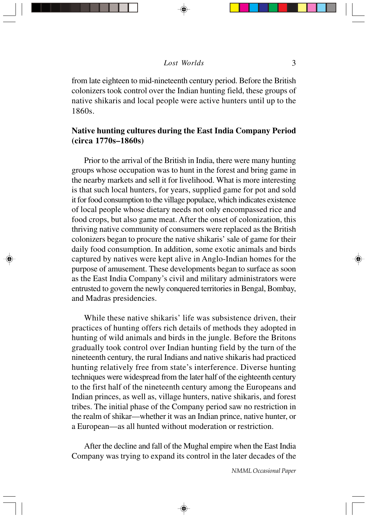from late eighteen to mid-nineteenth century period. Before the British colonizers took control over the Indian hunting field, these groups of native shikaris and local people were active hunters until up to the 1860s.

# **Native hunting cultures during the East India Company Period (circa 1770s–1860s)**

Prior to the arrival of the British in India, there were many hunting groups whose occupation was to hunt in the forest and bring game in the nearby markets and sell it for livelihood. What is more interesting is that such local hunters, for years, supplied game for pot and sold it for food consumption to the village populace, which indicates existence of local people whose dietary needs not only encompassed rice and food crops, but also game meat. After the onset of colonization, this thriving native community of consumers were replaced as the British colonizers began to procure the native shikaris' sale of game for their daily food consumption. In addition, some exotic animals and birds captured by natives were kept alive in Anglo-Indian homes for the purpose of amusement. These developments began to surface as soon as the East India Company's civil and military administrators were entrusted to govern the newly conquered territories in Bengal, Bombay, and Madras presidencies.

While these native shikaris' life was subsistence driven, their practices of hunting offers rich details of methods they adopted in hunting of wild animals and birds in the jungle. Before the Britons gradually took control over Indian hunting field by the turn of the nineteenth century, the rural Indians and native shikaris had practiced hunting relatively free from state's interference. Diverse hunting techniques were widespread from the later half of the eighteenth century to the first half of the nineteenth century among the Europeans and Indian princes, as well as, village hunters, native shikaris, and forest tribes. The initial phase of the Company period saw no restriction in the realm of shikar—whether it was an Indian prince, native hunter, or a European—as all hunted without moderation or restriction.

After the decline and fall of the Mughal empire when the East India Company was trying to expand its control in the later decades of the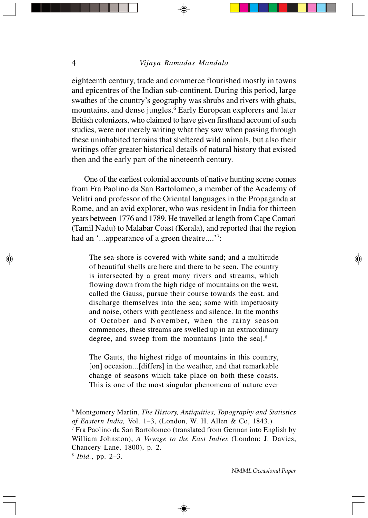eighteenth century, trade and commerce flourished mostly in towns and epicentres of the Indian sub-continent. During this period, large swathes of the country's geography was shrubs and rivers with ghats, mountains, and dense jungles.<sup>6</sup> Early European explorers and later British colonizers, who claimed to have given firsthand account of such studies, were not merely writing what they saw when passing through these uninhabited terrains that sheltered wild animals, but also their writings offer greater historical details of natural history that existed then and the early part of the nineteenth century.

One of the earliest colonial accounts of native hunting scene comes from Fra Paolino da San Bartolomeo, a member of the Academy of Velitri and professor of the Oriental languages in the Propaganda at Rome, and an avid explorer, who was resident in India for thirteen years between 1776 and 1789. He travelled at length from Cape Comari (Tamil Nadu) to Malabar Coast (Kerala), and reported that the region had an '...appearance of a green theatre....'<sup>7</sup>:

The sea-shore is covered with white sand; and a multitude of beautiful shells are here and there to be seen. The country is intersected by a great many rivers and streams, which flowing down from the high ridge of mountains on the west, called the Gauss, pursue their course towards the east, and discharge themselves into the sea; some with impetuosity and noise, others with gentleness and silence. In the months of October and November, when the rainy season commences, these streams are swelled up in an extraordinary degree, and sweep from the mountains [into the sea].<sup>8</sup>

The Gauts, the highest ridge of mountains in this country, [on] occasion...[differs] in the weather, and that remarkable change of seasons which take place on both these coasts. This is one of the most singular phenomena of nature ever

7 Fra Paolino da San Bartolomeo (translated from German into English by William Johnston), *A Voyage to the East Indies* (London: J. Davies, Chancery Lane, 1800), p. 2.

<sup>6</sup> Montgomery Martin, *The History, Antiquities, Topography and Statistics of Eastern India,* Vol. 1–3, (London, W. H. Allen & Co, 1843.)

<sup>8</sup>  *Ibid.*, pp. 2–3.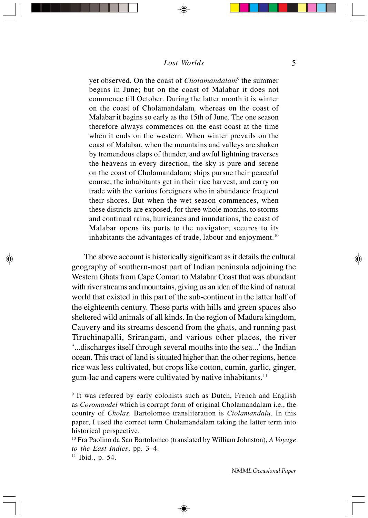yet observed. On the coast of *Cholamandalam*<sup>9</sup> the summer begins in June; but on the coast of Malabar it does not commence till October. During the latter month it is winter on the coast of Cholamandalam*,* whereas on the coast of Malabar it begins so early as the 15th of June. The one season therefore always commences on the east coast at the time when it ends on the western. When winter prevails on the coast of Malabar, when the mountains and valleys are shaken by tremendous claps of thunder, and awful lightning traverses the heavens in every direction, the sky is pure and serene on the coast of Cholamandalam; ships pursue their peaceful course; the inhabitants get in their rice harvest, and carry on trade with the various foreigners who in abundance frequent their shores. But when the wet season commences, when these districts are exposed, for three whole months, to storms and continual rains, hurricanes and inundations, the coast of Malabar opens its ports to the navigator; secures to its inhabitants the advantages of trade, labour and enjoyment.<sup>10</sup>

The above account is historically significant as it details the cultural geography of southern-most part of Indian peninsula adjoining the Western Ghats from Cape Comari to Malabar Coast that was abundant with river streams and mountains, giving us an idea of the kind of natural world that existed in this part of the sub-continent in the latter half of the eighteenth century. These parts with hills and green spaces also sheltered wild animals of all kinds. In the region of Madura kingdom, Cauvery and its streams descend from the ghats, and running past Tiruchinapalli, Srirangam, and various other places, the river '...discharges itself through several mouths into the sea...' the Indian ocean. This tract of land is situated higher than the other regions, hence rice was less cultivated, but crops like cotton, cumin, garlic, ginger, gum-lac and capers were cultivated by native inhabitants.<sup>11</sup>

<sup>&</sup>lt;sup>9</sup> It was referred by early colonists such as Dutch, French and English as *Coromandel* which is corrupt form of original Cholamandalam i.e., the country of *Cholas*. Bartolomeo transliteration is *Ciolamandalu.* In this paper, I used the correct term Cholamandalam taking the latter term into historical perspective.

<sup>10</sup> Fra Paolino da San Bartolomeo (translated by William Johnston), *A Voyage to the East Indies*, pp. 3–4.

 $11$  Ibid., p. 54.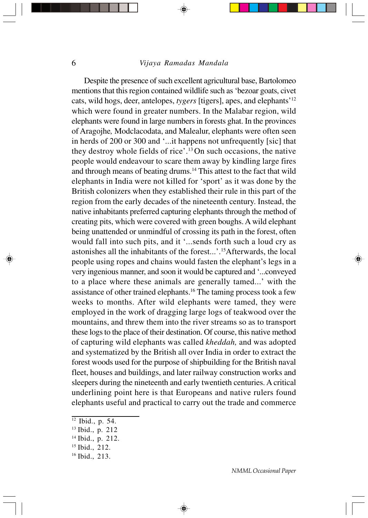Despite the presence of such excellent agricultural base, Bartolomeo mentions that this region contained wildlife such as 'bezoar goats, civet cats, wild hogs, deer, antelopes, *tygers* [tigers], apes, and elephants'12 which were found in greater numbers. In the Malabar region, wild elephants were found in large numbers in forests ghat. In the provinces of Aragojhe*,* Modclacodata, and Malealur, elephants were often seen in herds of 200 or 300 and '...it happens not unfrequently [sic] that they destroy whole fields of rice'.13 On such occasions, the native people would endeavour to scare them away by kindling large fires and through means of beating drums.14 This attest to the fact that wild elephants in India were not killed for 'sport' as it was done by the British colonizers when they established their rule in this part of the region from the early decades of the nineteenth century. Instead, the native inhabitants preferred capturing elephants through the method of creating pits, which were covered with green boughs. A wild elephant being unattended or unmindful of crossing its path in the forest, often would fall into such pits, and it '...sends forth such a loud cry as astonishes all the inhabitants of the forest...'.15Afterwards, the local people using ropes and chains would fasten the elephant's legs in a very ingenious manner, and soon it would be captured and '...conveyed to a place where these animals are generally tamed...' with the assistance of other trained elephants.16 The taming process took a few weeks to months. After wild elephants were tamed, they were employed in the work of dragging large logs of teakwood over the mountains, and threw them into the river streams so as to transport these logs to the place of their destination. Of course, this native method of capturing wild elephants was called *kheddah,* and was adopted and systematized by the British all over India in order to extract the forest woods used for the purpose of shipbuilding for the British naval fleet, houses and buildings, and later railway construction works and sleepers during the nineteenth and early twentieth centuries. A critical underlining point here is that Europeans and native rulers found elephants useful and practical to carry out the trade and commerce

◈

 $12$  Ibid., p. 54.

<sup>13</sup> Ibid., p. 212

<sup>14</sup> Ibid., p. 212.

<sup>15</sup> Ibid., 212.

<sup>16</sup> Ibid., 213.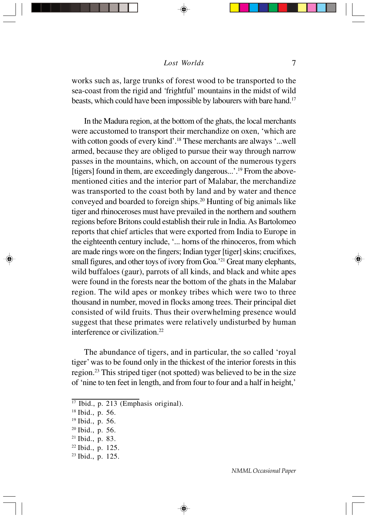works such as, large trunks of forest wood to be transported to the sea-coast from the rigid and *'*frightful' mountains in the midst of wild beasts, which could have been impossible by labourers with bare hand.<sup>17</sup>

In the Madura region, at the bottom of the ghats, the local merchants were accustomed to transport their merchandize on oxen, 'which are with cotton goods of every kind'.<sup>18</sup> These merchants are always '...well armed, because they are obliged to pursue their way through narrow passes in the mountains, which, on account of the numerous tygers [tigers] found in them, are exceedingly dangerous...'.19 From the abovementioned cities and the interior part of Malabar, the merchandize was transported to the coast both by land and by water and thence conveyed and boarded to foreign ships.20 Hunting of big animals like tiger and rhinoceroses must have prevailed in the northern and southern regions before Britons could establish their rule in India. As Bartolomeo reports that chief articles that were exported from India to Europe in the eighteenth century include, '... horns of the rhinoceros, from which are made rings wore on the fingers; Indian tyger [tiger] skins; crucifixes, small figures, and other toys of ivory from Goa.<sup>'21</sup> Great many elephants, wild buffaloes (gaur), parrots of all kinds, and black and white apes were found in the forests near the bottom of the ghats in the Malabar region. The wild apes or monkey tribes which were two to three thousand in number, moved in flocks among trees. Their principal diet consisted of wild fruits. Thus their overwhelming presence would suggest that these primates were relatively undisturbed by human interference or civilization.22

The abundance of tigers, and in particular, the so called 'royal tiger' was to be found only in the thickest of the interior forests in this region.23 This striped tiger (not spotted) was believed to be in the size of 'nine to ten feet in length, and from four to four and a half in height,'

⊕

<sup>&</sup>lt;sup>17</sup> Ibid., p. 213 (Emphasis original).

<sup>18</sup> Ibid., p. 56.

<sup>19</sup> Ibid., p. 56.

<sup>20</sup> Ibid., p. 56.

<sup>21</sup> Ibid., p. 83.

<sup>22</sup> Ibid., p. 125.

 $23$  Ibid., p. 125.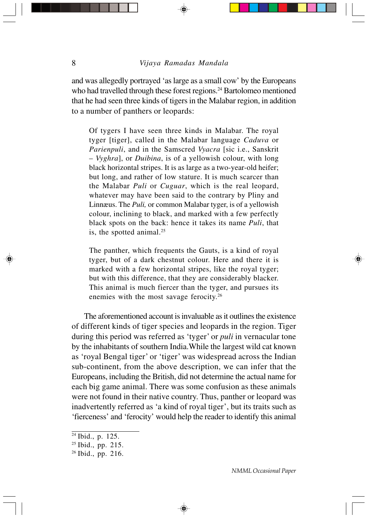and was allegedly portrayed 'as large as a small cow' by the Europeans who had travelled through these forest regions.<sup>24</sup> Bartolomeo mentioned that he had seen three kinds of tigers in the Malabar region, in addition to a number of panthers or leopards:

Of tygers I have seen three kinds in Malabar. The royal tyger [tiger], called in the Malabar language *Caduva* or *Parienpuli*, and in the Samscred *Vyacra* [sic i.e., Sanskrit – *Vyghra*], or *Duibina*, is of a yellowish colour, with long black horizontal stripes. It is as large as a two-year-old heifer; but long, and rather of low stature. It is much scarcer than the Malabar *Puli* or *Cuguar*, which is the real leopard, whatever may have been said to the contrary by Pliny and Linnæus. The *Puli,* or common Malabar tyger, is of a yellowish colour, inclining to black, and marked with a few perfectly black spots on the back: hence it takes its name *Puli*, that is, the spotted animal.<sup>25</sup>

The panther, which frequents the Gauts, is a kind of royal tyger, but of a dark chestnut colour. Here and there it is marked with a few horizontal stripes, like the royal tyger; but with this difference, that they are considerably blacker. This animal is much fiercer than the tyger, and pursues its enemies with the most savage ferocity.26

The aforementioned account is invaluable as it outlines the existence of different kinds of tiger species and leopards in the region. Tiger during this period was referred as 'tyger' or *puli* in vernacular tone by the inhabitants of southern India.While the largest wild cat known as 'royal Bengal tiger' or 'tiger' was widespread across the Indian sub-continent, from the above description, we can infer that the Europeans, including the British, did not determine the actual name for each big game animal. There was some confusion as these animals were not found in their native country. Thus, panther or leopard was inadvertently referred as 'a kind of royal tiger', but its traits such as 'fierceness' and 'ferocity' would help the reader to identify this animal

<sup>&</sup>lt;sup>24</sup> Ibid., p. 125.

<sup>25</sup> Ibid., pp. 215.

<sup>26</sup> Ibid., pp. 216.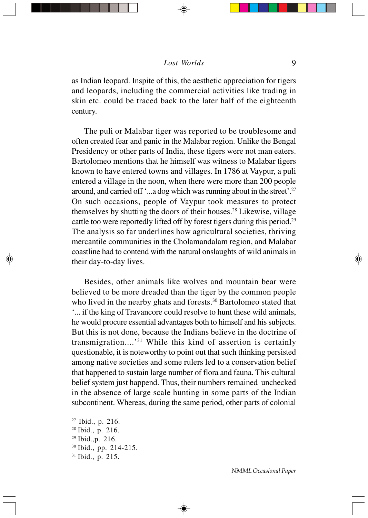#### $\text{Loss}$  Worlds 9

as Indian leopard. Inspite of this, the aesthetic appreciation for tigers and leopards, including the commercial activities like trading in skin etc. could be traced back to the later half of the eighteenth century.

The puli or Malabar tiger was reported to be troublesome and often created fear and panic in the Malabar region. Unlike the Bengal Presidency or other parts of India, these tigers were not man eaters. Bartolomeo mentions that he himself was witness to Malabar tigers known to have entered towns and villages. In 1786 at Vaypur, a puli entered a village in the noon, when there were more than 200 people around, and carried off '...a dog which was running about in the street'.27 On such occasions, people of Vaypur took measures to protect themselves by shutting the doors of their houses.28 Likewise, village cattle too were reportedly lifted off by forest tigers during this period.<sup>29</sup> The analysis so far underlines how agricultural societies, thriving mercantile communities in the Cholamandalam region, and Malabar coastline had to contend with the natural onslaughts of wild animals in their day-to-day lives.

Besides, other animals like wolves and mountain bear were believed to be more dreaded than the tiger by the common people who lived in the nearby ghats and forests.<sup>30</sup> Bartolomeo stated that '... if the king of Travancore could resolve to hunt these wild animals, he would procure essential advantages both to himself and his subjects. But this is not done, because the Indians believe in the doctrine of transmigration....'31 While this kind of assertion is certainly questionable, it is noteworthy to point out that such thinking persisted among native societies and some rulers led to a conservation belief that happened to sustain large number of flora and fauna. This cultural belief system just happend. Thus, their numbers remained unchecked in the absence of large scale hunting in some parts of the Indian subcontinent. Whereas, during the same period, other parts of colonial

⊕

<sup>27</sup> Ibid., p. 216.

<sup>28</sup> Ibid., p. 216.

<sup>29</sup> Ibid.,p. 216.

<sup>30</sup> Ibid., pp. 214-215.

<sup>31</sup> Ibid., p. 215.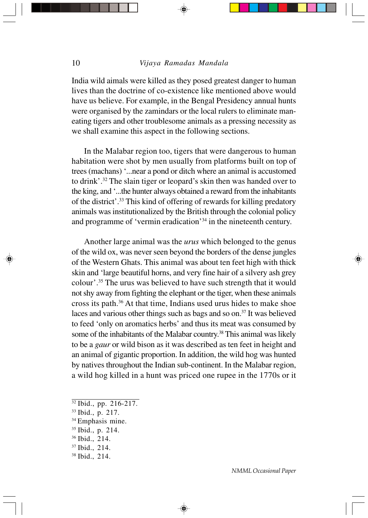India wild aimals were killed as they posed greatest danger to human lives than the doctrine of co-existence like mentioned above would have us believe. For example, in the Bengal Presidency annual hunts were organised by the zamindars or the local rulers to eliminate maneating tigers and other troublesome animals as a pressing necessity as we shall examine this aspect in the following sections.

In the Malabar region too, tigers that were dangerous to human habitation were shot by men usually from platforms built on top of trees (machans) '...near a pond or ditch where an animal is accustomed to drink'.32 The slain tiger or leopard's skin then was handed over to the king, and '...the hunter always obtained a reward from the inhabitants of the district'.33 This kind of offering of rewards for killing predatory animals was institutionalized by the British through the colonial policy and programme of 'vermin eradication'34 in the nineteenth century.

Another large animal was the *urus* which belonged to the genus of the wild ox, was never seen beyond the borders of the dense jungles of the Western Ghats. This animal was about ten feet high with thick skin and 'large beautiful horns, and very fine hair of a silvery ash grey colour'.35 The urus was believed to have such strength that it would not shy away from fighting the elephant or the tiger, when these animals cross its path.36 At that time, Indians used urus hides to make shoe laces and various other things such as bags and so on.37 It was believed to feed 'only on aromatics herbs' and thus its meat was consumed by some of the inhabitants of the Malabar country.<sup>38</sup> This animal was likely to be a *gaur* or wild bison as it was described as ten feet in height and an animal of gigantic proportion. In addition, the wild hog was hunted by natives throughout the Indian sub-continent. In the Malabar region, a wild hog killed in a hunt was priced one rupee in the 1770s or it

- $32$  Ibid., pp. 216-217.
- 33 Ibid., p. 217.
- <sup>34</sup> Emphasis mine.
- 35 Ibid., p. 214.
- 36 Ibid., 214.
- 37 Ibid., 214.
- 38 Ibid., 214.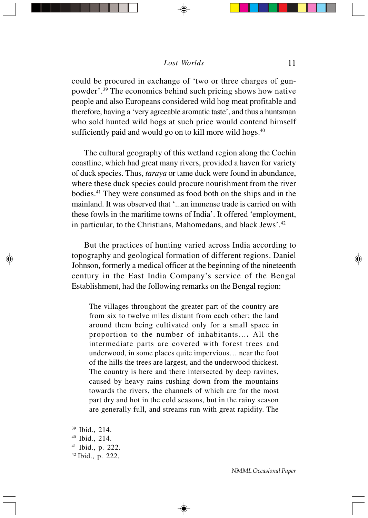could be procured in exchange of 'two or three charges of gunpowder'.39 The economics behind such pricing shows how native people and also Europeans considered wild hog meat profitable and therefore, having a 'very agreeable aromatic taste', and thus a huntsman who sold hunted wild hogs at such price would contend himself sufficiently paid and would go on to kill more wild hogs.<sup>40</sup>

The cultural geography of this wetland region along the Cochin coastline, which had great many rivers, provided a haven for variety of duck species. Thus, *taraya* or tame duck were found in abundance, where these duck species could procure nourishment from the river bodies.41 They were consumed as food both on the ships and in the mainland. It was observed that '...an immense trade is carried on with these fowls in the maritime towns of India'. It offered 'employment, in particular, to the Christians, Mahomedans, and black Jews'.<sup>42</sup>

But the practices of hunting varied across India according to topography and geological formation of different regions. Daniel Johnson, formerly a medical officer at the beginning of the nineteenth century in the East India Company's service of the Bengal Establishment, had the following remarks on the Bengal region:

The villages throughout the greater part of the country are from six to twelve miles distant from each other; the land around them being cultivated only for a small space in proportion to the number of inhabitants…**.** All the intermediate parts are covered with forest trees and underwood, in some places quite impervious… near the foot of the hills the trees are largest, and the underwood thickest. The country is here and there intersected by deep ravines, caused by heavy rains rushing down from the mountains towards the rivers, the channels of which are for the most part dry and hot in the cold seasons, but in the rainy season are generally full, and streams run with great rapidity. The

<sup>39</sup> Ibid., 214.

<sup>40</sup> Ibid., 214.

<sup>41</sup> Ibid., p. 222.

<sup>42</sup> Ibid., p. 222.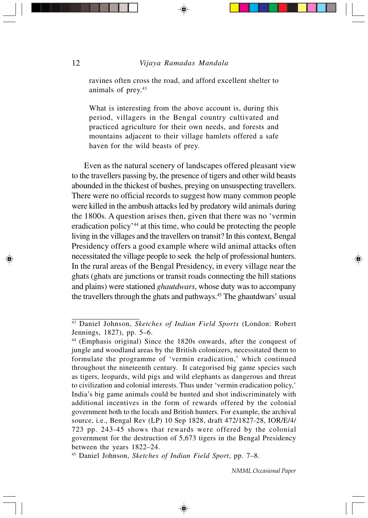ravines often cross the road, and afford excellent shelter to animals of prey.<sup>43</sup>

What is interesting from the above account is, during this period, villagers in the Bengal country cultivated and practiced agriculture for their own needs, and forests and mountains adjacent to their village hamlets offered a safe haven for the wild beasts of prey.

Even as the natural scenery of landscapes offered pleasant view to the travellers passing by, the presence of tigers and other wild beasts abounded in the thickest of bushes, preying on unsuspecting travellers. There were no official records to suggest how many common people were killed in the ambush attacks led by predatory wild animals during the 1800s. A question arises then, given that there was no 'vermin eradication policy'44 at this time, who could be protecting the people living in the villages and the travellers on transit? In this context, Bengal Presidency offers a good example where wild animal attacks often necessitated the village people to seek the help of professional hunters. In the rural areas of the Bengal Presidency, in every village near the ghats (ghats are junctions or transit roads connecting the hill stations and plains) were stationed *ghautdwars*, whose duty was to accompany the travellers through the ghats and pathways.45 The ghautdwars' usual

<sup>43</sup> Daniel Johnson, *Sketches of Indian Field Sports* (London: Robert Jennings, 1827), pp. 5–6.

<sup>44 (</sup>Emphasis original) Since the 1820s onwards, after the conquest of jungle and woodland areas by the British colonizers, necessitated them to formulate the programme of 'vermin eradication,' which continued throughout the nineteenth century. It categorised big game species such as tigers, leopards, wild pigs and wild elephants as dangerous and threat to civilization and colonial interests. Thus under 'vermin eradication policy,' India's big game animals could be hunted and shot indiscriminately with additional incentives in the form of rewards offered by the colonial government both to the locals and British hunters. For example, the archival source, i.e., Bengal Rev (LP) 10 Sep 1828, draft 472/1827-28, IOR/E/4/ 723 pp. 243-45 shows that rewards were offered by the colonial government for the destruction of 5,673 tigers in the Bengal Presidency between the years 1822–24.

<sup>45</sup> Daniel Johnson, *Sketches of Indian Field Sport*, pp. 7–8.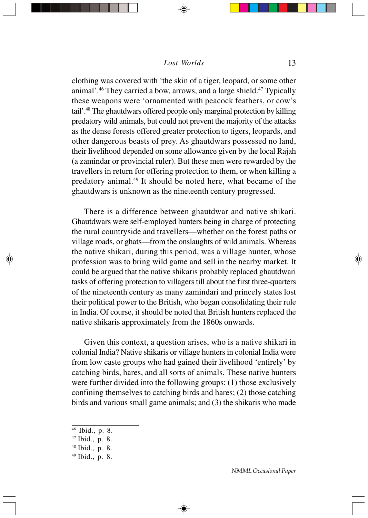clothing was covered with 'the skin of a tiger, leopard, or some other animal'.46 They carried a bow, arrows, and a large shield.47 Typically these weapons were 'ornamented with peacock feathers, or cow's tail'.48 The ghautdwars offered people only marginal protection by killing predatory wild animals, but could not prevent the majority of the attacks as the dense forests offered greater protection to tigers, leopards, and other dangerous beasts of prey. As ghautdwars possessed no land, their livelihood depended on some allowance given by the local Rajah (a zamindar or provincial ruler). But these men were rewarded by the travellers in return for offering protection to them, or when killing a predatory animal.49 It should be noted here, what became of the ghautdwars is unknown as the nineteenth century progressed.

There is a difference between ghautdwar and native shikari. Ghautdwars were self-employed hunters being in charge of protecting the rural countryside and travellers—whether on the forest paths or village roads, or ghats—from the onslaughts of wild animals. Whereas the native shikari, during this period, was a village hunter, whose profession was to bring wild game and sell in the nearby market. It could be argued that the native shikaris probably replaced ghautdwari tasks of offering protection to villagers till about the first three-quarters of the nineteenth century as many zamindari and princely states lost their political power to the British, who began consolidating their rule in India. Of course, it should be noted that British hunters replaced the native shikaris approximately from the 1860s onwards.

Given this context, a question arises, who is a native shikari in colonial India? Native shikaris or village hunters in colonial India were from low caste groups who had gained their livelihood 'entirely' by catching birds, hares, and all sorts of animals. These native hunters were further divided into the following groups: (1) those exclusively confining themselves to catching birds and hares; (2) those catching birds and various small game animals; and (3) the shikaris who made

⊕

- 46 Ibid., p. 8.
- 47 Ibid., p. 8.
- 48 Ibid., p. 8.
- 49 Ibid., p. 8.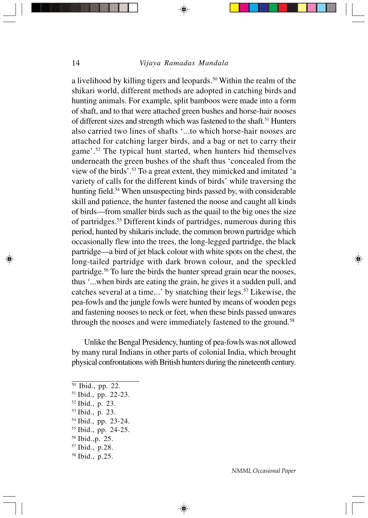a livelihood by killing tigers and leopards.<sup>50</sup> Within the realm of the shikari world, different methods are adopted in catching birds and hunting animals. For example, split bamboos were made into a form of shaft, and to that were attached green bushes and horse-hair nooses of different sizes and strength which was fastened to the shaft.<sup>51</sup> Hunters also carried two lines of shafts '...to which horse-hair nooses are attached for catching larger birds, and a bag or net to carry their game'.52 The typical hunt started, when hunters hid themselves underneath the green bushes of the shaft thus 'concealed from the view of the birds'.53 To a great extent, they mimicked and imitated 'a variety of calls for the different kinds of birds' while traversing the hunting field.<sup>54</sup> When unsuspecting birds passed by, with considerable skill and patience, the hunter fastened the noose and caught all kinds of birds—from smaller birds such as the quail to the big ones the size of partridges.55 Different kinds of partridges, numerous during this period, hunted by shikaris include, the common brown partridge which occasionally flew into the trees, the long-legged partridge, the black partridge—a bird of jet black colour with white spots on the chest, the long-tailed partridge with dark brown colour, and the speckled partridge.56 To lure the birds the hunter spread grain near the nooses, thus '...when birds are eating the grain, he gives it a sudden pull, and catches several at a time...' by snatching their legs.<sup>57</sup> Likewise, the pea-fowls and the jungle fowls were hunted by means of wooden pegs and fastening nooses to neck or feet, when these birds passed unwares through the nooses and were immediately fastened to the ground.<sup>58</sup>

Unlike the Bengal Presidency, hunting of pea-fowls was not allowed by many rural Indians in other parts of colonial India, which brought physical confrontations with British hunters during the nineteenth century.

⊕

- 52 Ibid., p. 23.
- 53 Ibid., p. 23.
- 54 Ibid., pp. 23-24.
- 55 Ibid., pp. 24-25.
- 56 Ibid.,p. 25.
- 57 Ibid., p.28.
- 58 Ibid., p.25.

<sup>50</sup> Ibid., pp. 22.

<sup>51</sup> Ibid., pp. 22-23.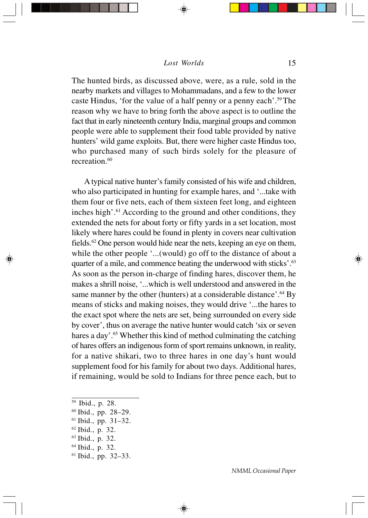The hunted birds, as discussed above, were, as a rule, sold in the nearby markets and villages to Mohammadans, and a few to the lower caste Hindus, 'for the value of a half penny or a penny each'.59 The reason why we have to bring forth the above aspect is to outline the fact that in early nineteenth century India, marginal groups and common people were able to supplement their food table provided by native hunters' wild game exploits. But, there were higher caste Hindus too, who purchased many of such birds solely for the pleasure of recreation.<sup>60</sup>

A typical native hunter's family consisted of his wife and children, who also participated in hunting for example hares, and '...take with them four or five nets, each of them sixteen feet long, and eighteen inches high'.61 According to the ground and other conditions, they extended the nets for about forty or fifty yards in a set location, most likely where hares could be found in plenty in covers near cultivation fields. $62$  One person would hide near the nets, keeping an eye on them, while the other people '...(would) go off to the distance of about a quarter of a mile, and commence beating the underwood with sticks'.<sup>63</sup> As soon as the person in-charge of finding hares, discover them, he makes a shrill noise, '...which is well understood and answered in the same manner by the other (hunters) at a considerable distance'.<sup>64</sup> By means of sticks and making noises, they would drive '...the hares to the exact spot where the nets are set, being surrounded on every side by cover', thus on average the native hunter would catch 'six or seven hares a day'.<sup>65</sup> Whether this kind of method culminating the catching of hares offers an indigenous form of sport remains unknown, in reality, for a native shikari, two to three hares in one day's hunt would supplement food for his family for about two days. Additional hares, if remaining, would be sold to Indians for three pence each, but to

⊕

- 62 Ibid., p. 32.
- 63 Ibid., p. 32.
- 64 Ibid., p. 32.
- 61 Ibid., pp. 32–33.

<sup>59</sup> Ibid., p. 28.

<sup>60</sup> Ibid., pp. 28–29.

 $61$  Ibid., pp. 31–32.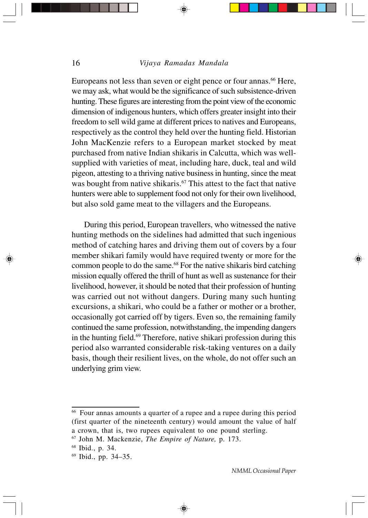Europeans not less than seven or eight pence or four annas.<sup>66</sup> Here, we may ask, what would be the significance of such subsistence-driven hunting. These figures are interesting from the point view of the economic dimension of indigenous hunters, which offers greater insight into their freedom to sell wild game at different prices to natives and Europeans, respectively as the control they held over the hunting field. Historian John MacKenzie refers to a European market stocked by meat purchased from native Indian shikaris in Calcutta, which was wellsupplied with varieties of meat, including hare, duck, teal and wild pigeon, attesting to a thriving native business in hunting, since the meat was bought from native shikaris.<sup>67</sup> This attest to the fact that native hunters were able to supplement food not only for their own livelihood, but also sold game meat to the villagers and the Europeans.

During this period, European travellers, who witnessed the native hunting methods on the sidelines had admitted that such ingenious method of catching hares and driving them out of covers by a four member shikari family would have required twenty or more for the common people to do the same.68 For the native shikaris bird catching mission equally offered the thrill of hunt as well as sustenance for their livelihood, however, it should be noted that their profession of hunting was carried out not without dangers. During many such hunting excursions, a shikari, who could be a father or mother or a brother, occasionally got carried off by tigers. Even so, the remaining family continued the same profession, notwithstanding, the impending dangers in the hunting field. $69$  Therefore, native shikari profession during this period also warranted considerable risk-taking ventures on a daily basis, though their resilient lives, on the whole, do not offer such an underlying grim view.

66 Four annas amounts a quarter of a rupee and a rupee during this period (first quarter of the nineteenth century) would amount the value of half a crown, that is, two rupees equivalent to one pound sterling.

⊕

<sup>67</sup> John M. Mackenzie, *The Empire of Nature,* p. 173.

<sup>68</sup> Ibid., p. 34.

<sup>69</sup> Ibid., pp. 34–35.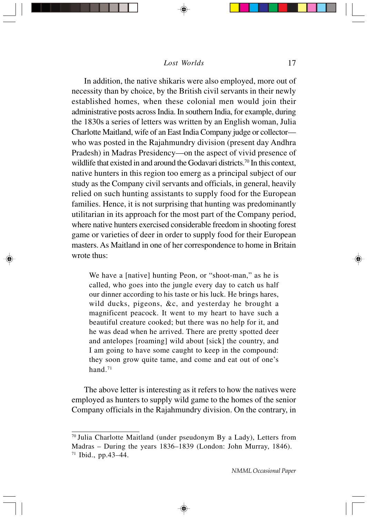In addition, the native shikaris were also employed, more out of necessity than by choice, by the British civil servants in their newly established homes, when these colonial men would join their administrative posts across India. In southern India, for example, during the 1830s a series of letters was written by an English woman, Julia Charlotte Maitland, wife of an East India Company judge or collector who was posted in the Rajahmundry division (present day Andhra Pradesh) in Madras Presidency—on the aspect of vivid presence of wildlife that existed in and around the Godavari districts.<sup>70</sup> In this context, native hunters in this region too emerg as a principal subject of our study as the Company civil servants and officials, in general, heavily relied on such hunting assistants to supply food for the European families. Hence, it is not surprising that hunting was predominantly utilitarian in its approach for the most part of the Company period, where native hunters exercised considerable freedom in shooting forest game or varieties of deer in order to supply food for their European masters. As Maitland in one of her correspondence to home in Britain wrote thus:

We have a [native] hunting Peon, or "shoot-man," as he is called, who goes into the jungle every day to catch us half our dinner according to his taste or his luck. He brings hares, wild ducks, pigeons, &c, and yesterday he brought a magnificent peacock. It went to my heart to have such a beautiful creature cooked; but there was no help for it, and he was dead when he arrived. There are pretty spotted deer and antelopes [roaming] wild about [sick] the country, and I am going to have some caught to keep in the compound: they soon grow quite tame, and come and eat out of one's hand.<sup>71</sup>

The above letter is interesting as it refers to how the natives were employed as hunters to supply wild game to the homes of the senior Company officials in the Rajahmundry division. On the contrary, in

<sup>70</sup> Julia Charlotte Maitland (under pseudonym By a Lady), Letters from Madras – During the years 1836–1839 (London: John Murray, 1846). 71 Ibid., pp.43–44.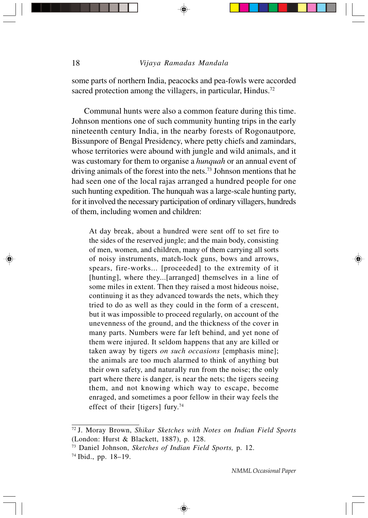some parts of northern India, peacocks and pea-fowls were accorded sacred protection among the villagers, in particular, Hindus.<sup>72</sup>

Communal hunts were also a common feature during this time. Johnson mentions one of such community hunting trips in the early nineteenth century India, in the nearby forests of Rogonautpore*,* Bissunpore of Bengal Presidency, where petty chiefs and zamindars, whose territories were abound with jungle and wild animals, and it was customary for them to organise a *hunquah* or an annual event of driving animals of the forest into the nets.73 Johnson mentions that he had seen one of the local rajas arranged a hundred people for one such hunting expedition. The hunquah was a large-scale hunting party, for it involved the necessary participation of ordinary villagers, hundreds of them, including women and children:

At day break, about a hundred were sent off to set fire to the sides of the reserved jungle; and the main body, consisting of men, women, and children, many of them carrying all sorts of noisy instruments, match-lock guns, bows and arrows, spears, fire-works... [proceeded] to the extremity of it [hunting], where they...[arranged] themselves in a line of some miles in extent. Then they raised a most hideous noise, continuing it as they advanced towards the nets, which they tried to do as well as they could in the form of a crescent, but it was impossible to proceed regularly, on account of the unevenness of the ground, and the thickness of the cover in many parts. Numbers were far left behind, and yet none of them were injured. It seldom happens that any are killed or taken away by tigers *on such occasions* [emphasis mine]; the animals are too much alarmed to think of anything but their own safety, and naturally run from the noise; the only part where there is danger, is near the nets; the tigers seeing them, and not knowing which way to escape, become enraged, and sometimes a poor fellow in their way feels the effect of their [tigers] fury.74

<sup>72</sup> J. Moray Brown, *Shikar Sketches with Notes on Indian Field Sports* (London: Hurst & Blackett, 1887), p. 128.

<sup>73</sup> Daniel Johnson, *Sketches of Indian Field Sports,* p. 12.

<sup>74</sup> Ibid., pp. 18–19.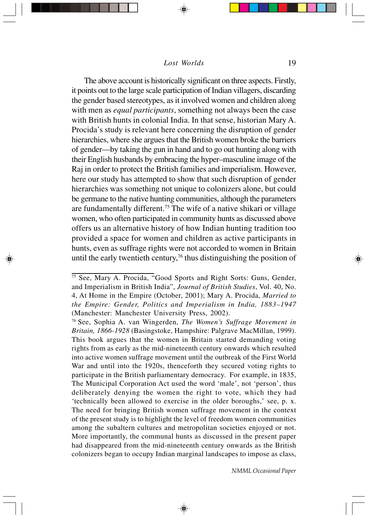The above account is historically significant on three aspects. Firstly, it points out to the large scale participation of Indian villagers, discarding the gender based stereotypes, as it involved women and children along with men as *equal participants*, something not always been the case with British hunts in colonial India. In that sense, historian Mary A. Procida's study is relevant here concerning the disruption of gender hierarchies, where she argues that the British women broke the barriers of gender—by taking the gun in hand and to go out hunting along with their English husbands by embracing the hyper–masculine image of the Raj in order to protect the British families and imperialism. However, here our study has attempted to show that such disruption of gender hierarchies was something not unique to colonizers alone, but could be germane to the native hunting communities, although the parameters are fundamentally different.75 The wife of a native shikari or village women, who often participated in community hunts as discussed above offers us an alternative history of how Indian hunting tradition too provided a space for women and children as active participants in hunts, even as suffrage rights were not accorded to women in Britain until the early twentieth century,<sup>76</sup> thus distinguishing the position of

⊕

<sup>&</sup>lt;sup>75</sup> See, Mary A. Procida, "Good Sports and Right Sorts: Guns, Gender, and Imperialism in British India", *Journal of British Studies*, Vol. 40, No. 4, At Home in the Empire (October, 2001); Mary A. Procida, *Married to the Empire: Gender, Politics and Imperialism in India, 1883–1947* (Manchester: Manchester University Press, 2002).

<sup>76</sup> See, Sophia A. van Wingerden, *The Women's Suffrage Movement in Britain, 1866-1928* (Basingstoke, Hampshire: Palgrave MacMillan, 1999). This book argues that the women in Britain started demanding voting rights from as early as the mid-nineteenth century onwards which resulted into active women suffrage movement until the outbreak of the First World War and until into the 1920s, thenceforth they secured voting rights to participate in the British parliamentary democracy. For example, in 1835, The Municipal Corporation Act used the word 'male', not 'person', thus deliberately denying the women the right to vote, which they had 'technically been allowed to exercise in the older boroughs,' see, p. x. The need for bringing British women suffrage movement in the context of the present study is to highlight the level of freedom women communities among the subaltern cultures and metropolitan societies enjoyed or not. More importantly, the communal hunts as discussed in the present paper had disappeared from the mid-nineteenth century onwards as the British colonizers began to occupy Indian marginal landscapes to impose as class,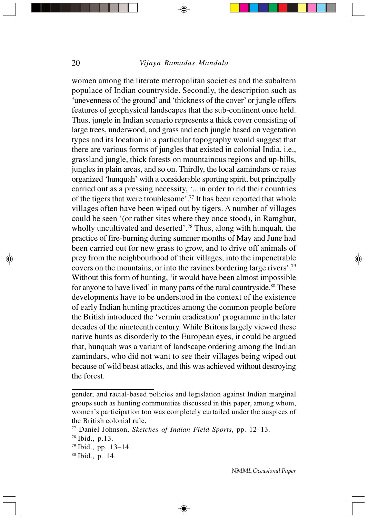women among the literate metropolitan societies and the subaltern populace of Indian countryside. Secondly, the description such as 'unevenness of the ground' and 'thickness of the cover' or jungle offers features of geophysical landscapes that the sub-continent once held. Thus, jungle in Indian scenario represents a thick cover consisting of large trees, underwood, and grass and each jungle based on vegetation types and its location in a particular topography would suggest that there are various forms of jungles that existed in colonial India, i.e., grassland jungle, thick forests on mountainous regions and up-hills, jungles in plain areas, and so on. Thirdly, the local zamindars or rajas organized 'hunquah' with a considerable sporting spirit, but principally carried out as a pressing necessity, '...in order to rid their countries of the tigers that were troublesome'.77 It has been reported that whole villages often have been wiped out by tigers. A number of villages could be seen '(or rather sites where they once stood), in Ramghur, wholly uncultivated and deserted'.78 Thus, along with hunquah*,* the practice of fire-burning during summer months of May and June had been carried out for new grass to grow, and to drive off animals of prey from the neighbourhood of their villages, into the impenetrable covers on the mountains, or into the ravines bordering large rivers'.79 Without this form of hunting, 'it would have been almost impossible for anyone to have lived' in many parts of the rural countryside.<sup>80</sup> These developments have to be understood in the context of the existence of early Indian hunting practices among the common people before the British introduced the 'vermin eradication' programme in the later decades of the nineteenth century. While Britons largely viewed these native hunts as disorderly to the European eyes, it could be argued that, hunquah was a variant of landscape ordering among the Indian zamindars, who did not want to see their villages being wiped out because of wild beast attacks, and this was achieved without destroying the forest.

⊕

gender, and racial-based policies and legislation against Indian marginal groups such as hunting communities discussed in this paper, among whom, women's participation too was completely curtailed under the auspices of the British colonial rule.

<sup>77</sup> Daniel Johnson, *Sketches of Indian Field Sports*, pp. 12–13.

<sup>78</sup> Ibid., p.13.

 $79$  Ibid., pp. 13–14.

<sup>80</sup> Ibid., p. 14.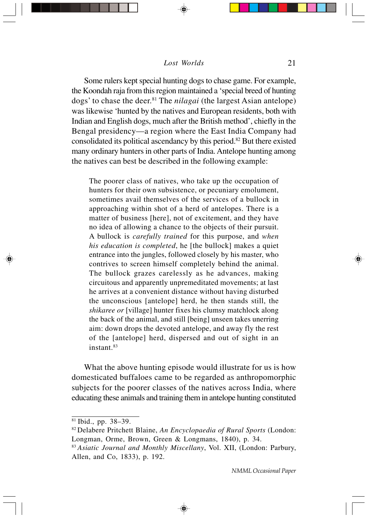Some rulers kept special hunting dogs to chase game. For example, the Koondah raja from this region maintained a 'special breed of hunting dogs' to chase the deer.81 The *nilagai* (the largest Asian antelope) was likewise 'hunted by the natives and European residents, both with Indian and English dogs, much after the British method', chiefly in the Bengal presidency—a region where the East India Company had consolidated its political ascendancy by this period.82 But there existed many ordinary hunters in other parts of India. Antelope hunting among the natives can best be described in the following example:

The poorer class of natives, who take up the occupation of hunters for their own subsistence, or pecuniary emolument, sometimes avail themselves of the services of a bullock in approaching within shot of a herd of antelopes. There is a matter of business [here], not of excitement, and they have no idea of allowing a chance to the objects of their pursuit. A bullock is *carefully trained* for this purpose, and *when his education is completed*, he [the bullock] makes a quiet entrance into the jungles, followed closely by his master, who contrives to screen himself completely behind the animal. The bullock grazes carelessly as he advances, making circuitous and apparently unpremeditated movements; at last he arrives at a convenient distance without having disturbed the unconscious [antelope] herd, he then stands still, the *shikaree or* [village] hunter fixes his clumsy matchlock along the back of the animal, and still [being] unseen takes unerring aim: down drops the devoted antelope, and away fly the rest of the [antelope] herd, dispersed and out of sight in an instant.<sup>83</sup>

What the above hunting episode would illustrate for us is how domesticated buffaloes came to be regarded as anthropomorphic subjects for the poorer classes of the natives across India, where educating these animals and training them in antelope hunting constituted

<sup>81</sup> Ibid., pp. 38–39.

<sup>82</sup> Delabere Pritchett Blaine, *An Encyclopaedia of Rural Sports* (London: Longman, Orme, Brown, Green & Longmans, 1840), p. 34.

<sup>83</sup>*Asiatic Journal and Monthly Miscellany*, Vol. XII, (London: Parbury, Allen, and Co, 1833), p. 192.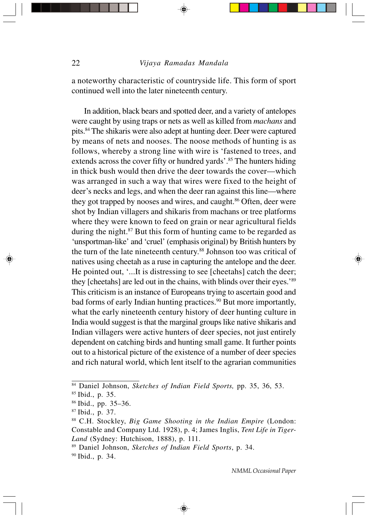a noteworthy characteristic of countryside life. This form of sport continued well into the later nineteenth century.

In addition, black bears and spotted deer, and a variety of antelopes were caught by using traps or nets as well as killed from *machans* and pits.84 The shikaris were also adept at hunting deer. Deer were captured by means of nets and nooses. The noose methods of hunting is as follows, whereby a strong line with wire is 'fastened to trees, and extends across the cover fifty or hundred yards'.<sup>85</sup> The hunters hiding in thick bush would then drive the deer towards the cover—which was arranged in such a way that wires were fixed to the height of deer's necks and legs, and when the deer ran against this line—where they got trapped by nooses and wires, and caught.<sup>86</sup> Often, deer were shot by Indian villagers and shikaris from machans or tree platforms where they were known to feed on grain or near agricultural fields during the night.<sup>87</sup> But this form of hunting came to be regarded as 'unsportman-like' and 'cruel' (emphasis original) by British hunters by the turn of the late nineteenth century.<sup>88</sup> Johnson too was critical of natives using cheetah as a ruse in capturing the antelope and the deer. He pointed out, '...It is distressing to see [cheetahs] catch the deer; they [cheetahs] are led out in the chains, with blinds over their eyes.'89 This criticism is an instance of Europeans trying to ascertain good and bad forms of early Indian hunting practices.<sup>90</sup> But more importantly, what the early nineteenth century history of deer hunting culture in India would suggest is that the marginal groups like native shikaris and Indian villagers were active hunters of deer species, not just entirely dependent on catching birds and hunting small game. It further points out to a historical picture of the existence of a number of deer species and rich natural world, which lent itself to the agrarian communities

⊕

<sup>84</sup> Daniel Johnson, *Sketches of Indian Field Sports,* pp. 35, 36, 53.

<sup>85</sup> Ibid., p. 35.

<sup>86</sup> Ibid., pp. 35–36.

<sup>87</sup> Ibid., p. 37.

<sup>88</sup> C.H. Stockley, *Big Game Shooting in the Indian Empire* (London: Constable and Company Ltd. 1928), p. 4; James Inglis, *Tent Life in Tiger-Land* (Sydney: Hutchison, 1888), p. 111.

<sup>89</sup> Daniel Johnson, *Sketches of Indian Field Sports*, p. 34.

<sup>90</sup> Ibid., p. 34.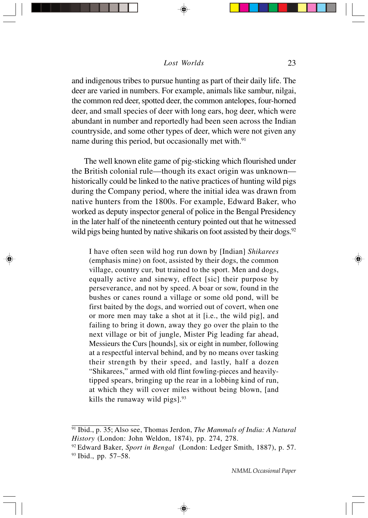and indigenous tribes to pursue hunting as part of their daily life. The deer are varied in numbers. For example, animals like sambur, nilgai, the common red deer, spotted deer, the common antelopes, four-horned deer, and small species of deer with long ears, hog deer, which were abundant in number and reportedly had been seen across the Indian countryside, and some other types of deer, which were not given any name during this period, but occasionally met with.<sup>91</sup>

The well known elite game of pig-sticking which flourished under the British colonial rule—though its exact origin was unknown historically could be linked to the native practices of hunting wild pigs during the Company period, where the initial idea was drawn from native hunters from the 1800s. For example, Edward Baker, who worked as deputy inspector general of police in the Bengal Presidency in the later half of the nineteenth century pointed out that he witnessed wild pigs being hunted by native shikaris on foot assisted by their dogs.<sup>92</sup>

I have often seen wild hog run down by [Indian] *Shikarees* (emphasis mine) on foot, assisted by their dogs, the common village, country cur, but trained to the sport. Men and dogs, equally active and sinewy, effect [sic] their purpose by perseverance, and not by speed. A boar or sow, found in the bushes or canes round a village or some old pond, will be first baited by the dogs, and worried out of covert, when one or more men may take a shot at it [i.e., the wild pig], and failing to bring it down, away they go over the plain to the next village or bit of jungle, Mister Pig leading far ahead, Messieurs the Curs [hounds], six or eight in number, following at a respectful interval behind, and by no means over tasking their strength by their speed, and lastly, half a dozen "Shikarees," armed with old flint fowling-pieces and heavilytipped spears, bringing up the rear in a lobbing kind of run, at which they will cover miles without being blown, [and kills the runaway wild pigs $l.^{93}$ 

<sup>91</sup> Ibid., p. 35; Also see, Thomas Jerdon, *The Mammals of India: A Natural History* (London: John Weldon, 1874), pp. 274, 278.

<sup>92</sup> Edward Baker, *Sport in Bengal* (London: Ledger Smith, 1887), p. 57. 93 Ibid., pp. 57–58.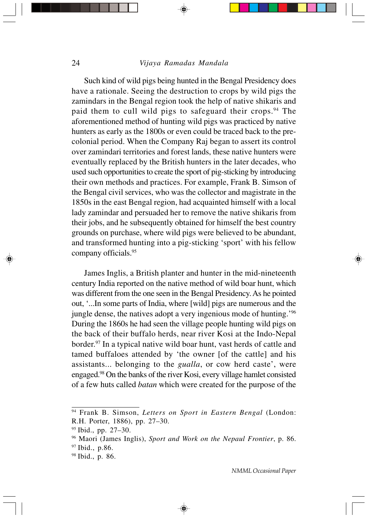Such kind of wild pigs being hunted in the Bengal Presidency does have a rationale. Seeing the destruction to crops by wild pigs the zamindars in the Bengal region took the help of native shikaris and paid them to cull wild pigs to safeguard their crops.94 The aforementioned method of hunting wild pigs was practiced by native hunters as early as the 1800s or even could be traced back to the precolonial period. When the Company Raj began to assert its control over zamindari territories and forest lands, these native hunters were eventually replaced by the British hunters in the later decades, who used such opportunities to create the sport of pig-sticking by introducing their own methods and practices. For example, Frank B. Simson of the Bengal civil services, who was the collector and magistrate in the 1850s in the east Bengal region, had acquainted himself with a local lady zamindar and persuaded her to remove the native shikaris from their jobs, and he subsequently obtained for himself the best country grounds on purchase, where wild pigs were believed to be abundant, and transformed hunting into a pig-sticking 'sport' with his fellow company officials.95

James Inglis, a British planter and hunter in the mid-nineteenth century India reported on the native method of wild boar hunt, which was different from the one seen in the Bengal Presidency. As he pointed out, '...In some parts of India, where [wild] pigs are numerous and the jungle dense, the natives adopt a very ingenious mode of hunting.<sup>'96</sup> During the 1860s he had seen the village people hunting wild pigs on the back of their buffalo herds, near river Kosi at the Indo-Nepal border.97 In a typical native wild boar hunt, vast herds of cattle and tamed buffaloes attended by 'the owner [of the cattle] and his assistants... belonging to the *gualla*, or cow herd caste', were engaged.98 On the banks of the river Kosi, every village hamlet consisted of a few huts called *batan* which were created for the purpose of the

⊕

<sup>94</sup> Frank B. Simson, *Letters on Sport in Eastern Bengal* (London: R.H. Porter, 1886), pp. 27–30.

 $95$  Ibid., pp. 27–30.

<sup>96</sup> Maori (James Inglis), *Sport and Work on the Nepaul Frontier*, p. 86. 97 Ibid., p.86.

<sup>98</sup> Ibid., p. 86.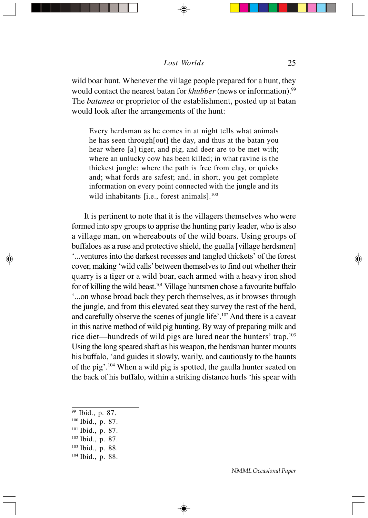wild boar hunt. Whenever the village people prepared for a hunt, they would contact the nearest batan for *khubber* (news or information).<sup>99</sup> The *batanea* or proprietor of the establishment, posted up at batan would look after the arrangements of the hunt:

Every herdsman as he comes in at night tells what animals he has seen through[out] the day, and thus at the batan you hear where [a] tiger, and pig, and deer are to be met with; where an unlucky cow has been killed; in what ravine is the thickest jungle; where the path is free from clay, or quicks and; what fords are safest; and, in short, you get complete information on every point connected with the jungle and its wild inhabitants [i.e., forest animals].<sup>100</sup>

It is pertinent to note that it is the villagers themselves who were formed into spy groups to apprise the hunting party leader, who is also a village man, on whereabouts of the wild boars. Using groups of buffaloes as a ruse and protective shield, the gualla [village herdsmen] '...ventures into the darkest recesses and tangled thickets' of the forest cover, making 'wild calls' between themselves to find out whether their quarry is a tiger or a wild boar, each armed with a heavy iron shod for of killing the wild beast.101 Village huntsmen chose a favourite buffalo '...on whose broad back they perch themselves, as it browses through the jungle, and from this elevated seat they survey the rest of the herd, and carefully observe the scenes of jungle life'.<sup>102</sup> And there is a caveat in this native method of wild pig hunting. By way of preparing milk and rice diet—hundreds of wild pigs are lured near the hunters' trap.103 Using the long speared shaft as his weapon, the herdsman hunter mounts his buffalo, 'and guides it slowly, warily, and cautiously to the haunts of the pig'.104 When a wild pig is spotted, the gaulla hunter seated on the back of his buffalo, within a striking distance hurls 'his spear with

- 99 Ibid., p. 87.
- $100$  Ibid., p. 87.
- 101 Ibid., p. 87.
- 102 Ibid., p. 87.
- 103 Ibid., p. 88.
- 104 Ibid., p. 88.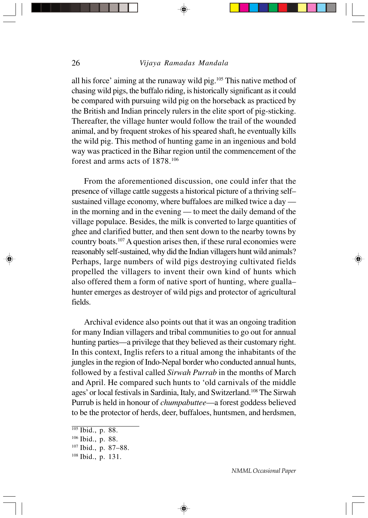all his force' aiming at the runaway wild pig.105 This native method of chasing wild pigs, the buffalo riding, is historically significant as it could be compared with pursuing wild pig on the horseback as practiced by the British and Indian princely rulers in the elite sport of pig-sticking. Thereafter, the village hunter would follow the trail of the wounded animal, and by frequent strokes of his speared shaft, he eventually kills the wild pig. This method of hunting game in an ingenious and bold way was practiced in the Bihar region until the commencement of the forest and arms acts of 1878.106

From the aforementioned discussion, one could infer that the presence of village cattle suggests a historical picture of a thriving self– sustained village economy, where buffaloes are milked twice a day in the morning and in the evening — to meet the daily demand of the village populace. Besides, the milk is converted to large quantities of ghee and clarified butter, and then sent down to the nearby towns by country boats.107 A question arises then, if these rural economies were reasonably self-sustained, why did the Indian villagers hunt wild animals? Perhaps, large numbers of wild pigs destroying cultivated fields propelled the villagers to invent their own kind of hunts which also offered them a form of native sport of hunting, where gualla*–* hunter emerges as destroyer of wild pigs and protector of agricultural fields.

Archival evidence also points out that it was an ongoing tradition for many Indian villagers and tribal communities to go out for annual hunting parties—a privilege that they believed as their customary right. In this context, Inglis refers to a ritual among the inhabitants of the jungles in the region of Indo-Nepal border who conducted annual hunts, followed by a festival called *Sirwah Purrab* in the months of March and April. He compared such hunts to 'old carnivals of the middle ages' or local festivals in Sardinia, Italy, and Switzerland.108 The Sirwah Purrub is held in honour of *chumpabuttee*—a forest goddess believed to be the protector of herds, deer, buffaloes, huntsmen, and herdsmen,

⊕

 $105$  Ibid., p. 88.

<sup>106</sup> Ibid., p. 88.

<sup>107</sup> Ibid., p. 87–88.

<sup>108</sup> Ibid., p. 131.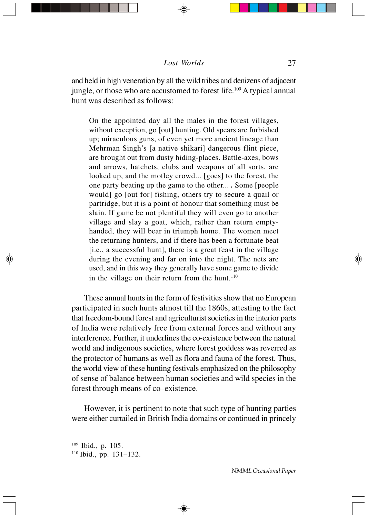and held in high veneration by all the wild tribes and denizens of adjacent jungle, or those who are accustomed to forest life.<sup>109</sup> A typical annual hunt was described as follows:

On the appointed day all the males in the forest villages, without exception, go [out] hunting. Old spears are furbished up; miraculous guns, of even yet more ancient lineage than Mehrman Singh's [a native shikari] dangerous flint piece, are brought out from dusty hiding-places. Battle-axes, bows and arrows, hatchets, clubs and weapons of all sorts, are looked up, and the motley crowd... [goes] to the forest, the one party beating up the game to the other... *.* Some [people would] go [out for] fishing, others try to secure a quail or partridge, but it is a point of honour that something must be slain. If game be not plentiful they will even go to another village and slay a goat, which, rather than return emptyhanded, they will bear in triumph home. The women meet the returning hunters, and if there has been a fortunate beat [i.e., a successful hunt], there is a great feast in the village during the evening and far on into the night. The nets are used, and in this way they generally have some game to divide in the village on their return from the hunt. $110$ 

These annual hunts in the form of festivities show that no European participated in such hunts almost till the 1860s, attesting to the fact that freedom-bound forest and agriculturist societies in the interior parts of India were relatively free from external forces and without any interference. Further, it underlines the co-existence between the natural world and indigenous societies, where forest goddess was reverred as the protector of humans as well as flora and fauna of the forest. Thus, the world view of these hunting festivals emphasized on the philosophy of sense of balance between human societies and wild species in the forest through means of co–existence.

However, it is pertinent to note that such type of hunting parties were either curtailed in British India domains or continued in princely

<sup>109</sup> Ibid., p. 105.

 $110$  Ibid., pp. 131–132.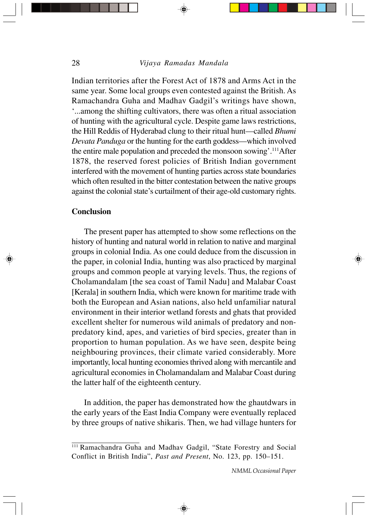Indian territories after the Forest Act of 1878 and Arms Act in the same year. Some local groups even contested against the British. As Ramachandra Guha and Madhav Gadgil's writings have shown, '...among the shifting cultivators, there was often a ritual association of hunting with the agricultural cycle. Despite game laws restrictions, the Hill Reddis of Hyderabad clung to their ritual hunt—called *Bhumi Devata Panduga* or the hunting for the earth goddess—which involved the entire male population and preceded the monsoon sowing'.<sup>111</sup>After 1878, the reserved forest policies of British Indian government interfered with the movement of hunting parties across state boundaries which often resulted in the bitter contestation between the native groups against the colonial state's curtailment of their age-old customary rights.

# **Conclusion**

The present paper has attempted to show some reflections on the history of hunting and natural world in relation to native and marginal groups in colonial India. As one could deduce from the discussion in the paper, in colonial India, hunting was also practiced by marginal groups and common people at varying levels. Thus, the regions of Cholamandalam [the sea coast of Tamil Nadu] and Malabar Coast [Kerala] in southern India, which were known for maritime trade with both the European and Asian nations, also held unfamiliar natural environment in their interior wetland forests and ghats that provided excellent shelter for numerous wild animals of predatory and nonpredatory kind, apes, and varieties of bird species, greater than in proportion to human population. As we have seen, despite being neighbouring provinces, their climate varied considerably. More importantly, local hunting economies thrived along with mercantile and agricultural economies in Cholamandalam and Malabar Coast during the latter half of the eighteenth century.

In addition, the paper has demonstrated how the ghautdwars in the early years of the East India Company were eventually replaced by three groups of native shikaris. Then, we had village hunters for

<sup>111</sup> Ramachandra Guha and Madhav Gadgil, "State Forestry and Social Conflict in British India", *Past and Present*, No. 123, pp. 150–151.